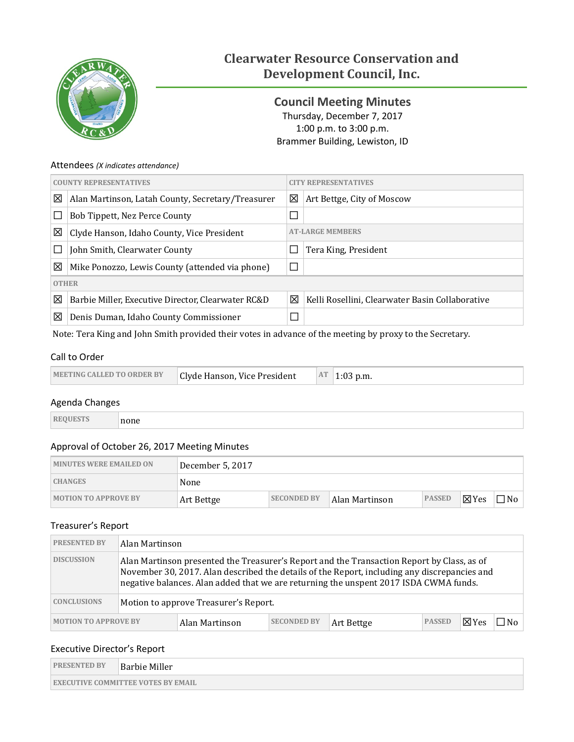

# **Clearwater Resource Conservation and Development Council, Inc.**

<span id="page-0-0"></span>**Council Meeting Minutes** Thursday, December 7, 2017 1:00 p.m. to 3:00 p.m. Brammer Building, Lewiston, ID

#### Attendees *(X indicates attendance)*

|              | <b>COUNTY REPRESENTATIVES</b>                      |                         | <b>CITY REPRESENTATIVES</b>                     |
|--------------|----------------------------------------------------|-------------------------|-------------------------------------------------|
| 図            | Alan Martinson, Latah County, Secretary/Treasurer  | 図                       | Art Bettge, City of Moscow                      |
|              | Bob Tippett, Nez Perce County                      | $\mathcal{L}$           |                                                 |
| ⊠            | Clyde Hanson, Idaho County, Vice President         | <b>AT-LARGE MEMBERS</b> |                                                 |
|              | John Smith, Clearwater County                      |                         | Tera King, President                            |
| ⊠            | Mike Ponozzo, Lewis County (attended via phone)    | $\Box$                  |                                                 |
| <b>OTHER</b> |                                                    |                         |                                                 |
| ⊠            | Barbie Miller, Executive Director, Clearwater RC&D | 区                       | Kelli Rosellini, Clearwater Basin Collaborative |
| 図            | Denis Duman, Idaho County Commissioner             | ⊓                       |                                                 |

Note: Tera King and John Smith provided their votes in advance of the meeting by proxy to the Secretary.

### Call to Order

| <b>MEETING CALLED TO ORDER BY</b> | Clyde Hanson, Vice President | <b>AT</b> | $1:03$ p.m. |
|-----------------------------------|------------------------------|-----------|-------------|
|-----------------------------------|------------------------------|-----------|-------------|

### Agenda Changes

| <b>REQUESTS</b> | ∣none |
|-----------------|-------|
|-----------------|-------|

### Approval of October 26, 2017 Meeting Minutes

| <b>MINUTES WERE EMAILED ON</b> | December 5, 2017 |                    |                |               |                 |       |
|--------------------------------|------------------|--------------------|----------------|---------------|-----------------|-------|
| <b>CHANGES</b>                 | None             |                    |                |               |                 |       |
| <b>MOTION TO APPROVE BY</b>    | Art Bettge       | <b>SECONDED BY</b> | Alan Martinson | <b>PASSED</b> | $\boxtimes$ Yes | ⊤No ⊦ |

### Treasurer's Report

| <b>PRESENTED BY</b>         | Alan Martinson                                                                                                                                                                                                                                                                      |                |                    |            |               |        |     |
|-----------------------------|-------------------------------------------------------------------------------------------------------------------------------------------------------------------------------------------------------------------------------------------------------------------------------------|----------------|--------------------|------------|---------------|--------|-----|
| <b>DISCUSSION</b>           | Alan Martinson presented the Treasurer's Report and the Transaction Report by Class, as of<br>November 30, 2017. Alan described the details of the Report, including any discrepancies and<br>negative balances. Alan added that we are returning the unspent 2017 ISDA CWMA funds. |                |                    |            |               |        |     |
| <b>CONCLUSIONS</b>          | Motion to approve Treasurer's Report.                                                                                                                                                                                                                                               |                |                    |            |               |        |     |
| <b>MOTION TO APPROVE BY</b> |                                                                                                                                                                                                                                                                                     | Alan Martinson | <b>SECONDED BY</b> | Art Bettge | <b>PASSED</b> | ⊥⊠ Yes | 1No |

### Executive Director's Report

| <b>PRESENTED BY</b>                       | Barbie Miller |  |  |  |  |
|-------------------------------------------|---------------|--|--|--|--|
| <b>EXECUTIVE COMMITTEE VOTES BY EMAIL</b> |               |  |  |  |  |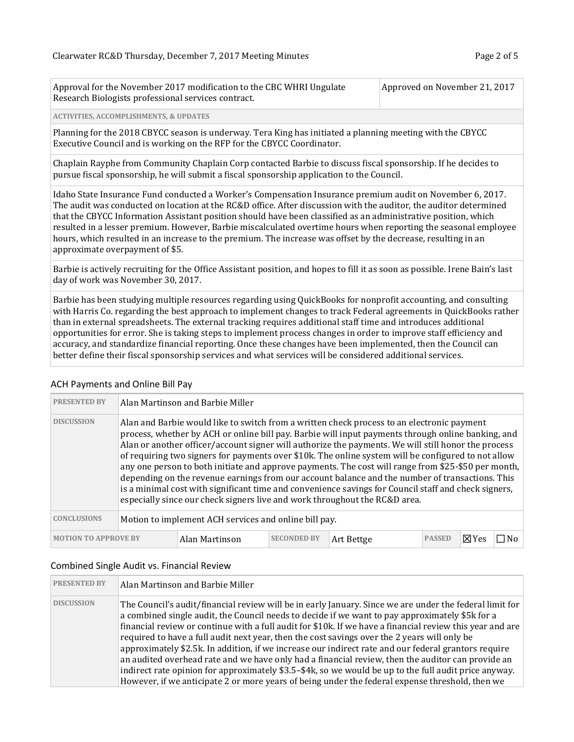| Approval for the November 2017 modification to the CBC WHRI Ungulate | Approved on November 21, 2017 |
|----------------------------------------------------------------------|-------------------------------|
| Research Biologists professional services contract.                  |                               |

#### **ACTIVITIES, ACCOMPLISHMENTS, & UPDATES**

Planning for the 2018 CBYCC season is underway. Tera King has initiated a planning meeting with the CBYCC Executive Council and is working on the RFP for the CBYCC Coordinator.

Chaplain Rayphe from Community Chaplain Corp contacted Barbie to discuss fiscal sponsorship. If he decides to pursue fiscal sponsorship, he will submit a fiscal sponsorship application to the Council.

Idaho State Insurance Fund conducted a Worker's Compensation Insurance premium audit on November 6, 2017. The audit was conducted on location at the RC&D office. After discussion with the auditor, the auditor determined that the CBYCC Information Assistant position should have been classified as an administrative position, which resulted in a lesser premium. However, Barbie miscalculated overtime hours when reporting the seasonal employee hours, which resulted in an increase to the premium. The increase was offset by the decrease, resulting in an approximate overpayment of \$5.

Barbie is actively recruiting for the Office Assistant position, and hopes to fill it as soon as possible. Irene Bain's last day of work was November 30, 2017.

Barbie has been studying multiple resources regarding using QuickBooks for nonprofit accounting, and consulting with Harris Co. regarding the best approach to implement changes to track Federal agreements in QuickBooks rather than in external spreadsheets. The external tracking requires additional staff time and introduces additional opportunities for error. She is taking steps to implement process changes in order to improve staff efficiency and accuracy, and standardize financial reporting. Once these changes have been implemented, then the Council can better define their fiscal sponsorship services and what services will be considered additional services.

| <b>PRESENTED BY</b>         |                                                                                                                                                                                                                                                                                                                                                                                                                                                                                                                                                                                                                                                                                                                                                                                                                | Alan Martinson and Barbie Miller |                    |            |               |         |  |
|-----------------------------|----------------------------------------------------------------------------------------------------------------------------------------------------------------------------------------------------------------------------------------------------------------------------------------------------------------------------------------------------------------------------------------------------------------------------------------------------------------------------------------------------------------------------------------------------------------------------------------------------------------------------------------------------------------------------------------------------------------------------------------------------------------------------------------------------------------|----------------------------------|--------------------|------------|---------------|---------|--|
| <b>DISCUSSION</b>           | Alan and Barbie would like to switch from a written check process to an electronic payment<br>process, whether by ACH or online bill pay. Barbie will input payments through online banking, and<br>Alan or another officer/account signer will authorize the payments. We will still honor the process<br>of requiring two signers for payments over \$10k. The online system will be configured to not allow<br>any one person to both initiate and approve payments. The cost will range from \$25-\$50 per month,<br>depending on the revenue earnings from our account balance and the number of transactions. This<br>is a minimal cost with significant time and convenience savings for Council staff and check signers,<br>especially since our check signers live and work throughout the RC&D area. |                                  |                    |            |               |         |  |
| <b>CONCLUSIONS</b>          | Motion to implement ACH services and online bill pay.                                                                                                                                                                                                                                                                                                                                                                                                                                                                                                                                                                                                                                                                                                                                                          |                                  |                    |            |               |         |  |
| <b>MOTION TO APPROVE BY</b> |                                                                                                                                                                                                                                                                                                                                                                                                                                                                                                                                                                                                                                                                                                                                                                                                                | Alan Martinson                   | <b>SECONDED BY</b> | Art Bettge | <b>PASSED</b> | . ⊠ Yes |  |

#### ACH Payments and Online Bill Pay

#### Combined Single Audit vs. Financial Review

| <b>PRESENTED BY</b> | Alan Martinson and Barbie Miller                                                                                                                                                                                                                                                                                                                                                                                                                                                                                                                                                                                                                                                                                                                                                                                                                 |
|---------------------|--------------------------------------------------------------------------------------------------------------------------------------------------------------------------------------------------------------------------------------------------------------------------------------------------------------------------------------------------------------------------------------------------------------------------------------------------------------------------------------------------------------------------------------------------------------------------------------------------------------------------------------------------------------------------------------------------------------------------------------------------------------------------------------------------------------------------------------------------|
| <b>DISCUSSION</b>   | The Council's audit/financial review will be in early January. Since we are under the federal limit for<br>a combined single audit, the Council needs to decide if we want to pay approximately \$5k for a<br>financial review or continue with a full audit for \$10k. If we have a financial review this year and are<br>required to have a full audit next year, then the cost savings over the 2 years will only be<br>approximately \$2.5k. In addition, if we increase our indirect rate and our federal grantors require<br>an audited overhead rate and we have only had a financial review, then the auditor can provide an<br>indirect rate opinion for approximately \$3.5-\$4k, so we would be up to the full audit price anyway.<br>However, if we anticipate 2 or more years of being under the federal expense threshold, then we |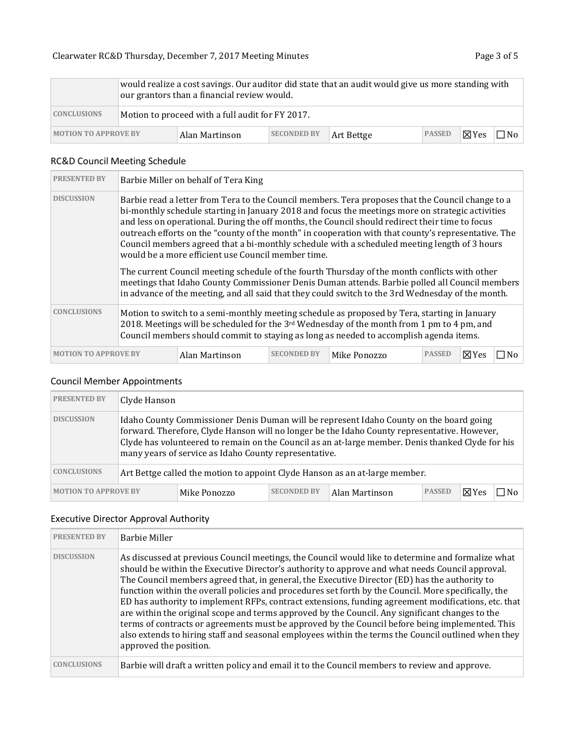|                             | would realize a cost savings. Our auditor did state that an audit would give us more standing with<br>our grantors than a financial review would. |                |                    |            |               |                 |       |
|-----------------------------|---------------------------------------------------------------------------------------------------------------------------------------------------|----------------|--------------------|------------|---------------|-----------------|-------|
| <b>CONCLUSIONS</b>          | Motion to proceed with a full audit for FY 2017.                                                                                                  |                |                    |            |               |                 |       |
| <b>MOTION TO APPROVE BY</b> |                                                                                                                                                   | Alan Martinson | <b>SECONDED BY</b> | Art Bettge | <b>PASSED</b> | $\boxtimes$ Yes | lNo l |

# RC&D Council Meeting Schedule

| <b>PRESENTED BY</b>                                                                                                                                                                                                                                                                                             |                                                                                                                                                                                                                                                                                                                                                                                                                                                                                                                                                                       | Barbie Miller on behalf of Tera King |                    |              |               |                 |  |
|-----------------------------------------------------------------------------------------------------------------------------------------------------------------------------------------------------------------------------------------------------------------------------------------------------------------|-----------------------------------------------------------------------------------------------------------------------------------------------------------------------------------------------------------------------------------------------------------------------------------------------------------------------------------------------------------------------------------------------------------------------------------------------------------------------------------------------------------------------------------------------------------------------|--------------------------------------|--------------------|--------------|---------------|-----------------|--|
| <b>DISCUSSION</b>                                                                                                                                                                                                                                                                                               | Barbie read a letter from Tera to the Council members. Tera proposes that the Council change to a<br>bi-monthly schedule starting in January 2018 and focus the meetings more on strategic activities<br>and less on operational. During the off months, the Council should redirect their time to focus<br>outreach efforts on the "county of the month" in cooperation with that county's representative. The<br>Council members agreed that a bi-monthly schedule with a scheduled meeting length of 3 hours<br>would be a more efficient use Council member time. |                                      |                    |              |               |                 |  |
|                                                                                                                                                                                                                                                                                                                 | The current Council meeting schedule of the fourth Thursday of the month conflicts with other<br>meetings that Idaho County Commissioner Denis Duman attends. Barbie polled all Council members<br>in advance of the meeting, and all said that they could switch to the 3rd Wednesday of the month.                                                                                                                                                                                                                                                                  |                                      |                    |              |               |                 |  |
| <b>CONCLUSIONS</b><br>Motion to switch to a semi-monthly meeting schedule as proposed by Tera, starting in January<br>2018. Meetings will be scheduled for the $3^{rd}$ Wednesday of the month from 1 pm to 4 pm, and<br>Council members should commit to staying as long as needed to accomplish agenda items. |                                                                                                                                                                                                                                                                                                                                                                                                                                                                                                                                                                       |                                      |                    |              |               |                 |  |
| <b>MOTION TO APPROVE BY</b>                                                                                                                                                                                                                                                                                     |                                                                                                                                                                                                                                                                                                                                                                                                                                                                                                                                                                       | Alan Martinson                       | <b>SECONDED BY</b> | Mike Ponozzo | <b>PASSED</b> | $\boxtimes$ Yes |  |

### Council Member Appointments

| <b>PRESENTED BY</b>         | Clyde Hanson                                                                                                                                                                                                                                                                                                                                          |              |                    |                |               |               |     |
|-----------------------------|-------------------------------------------------------------------------------------------------------------------------------------------------------------------------------------------------------------------------------------------------------------------------------------------------------------------------------------------------------|--------------|--------------------|----------------|---------------|---------------|-----|
| <b>DISCUSSION</b>           | Idaho County Commissioner Denis Duman will be represent Idaho County on the board going<br>forward. Therefore, Clyde Hanson will no longer be the Idaho County representative. However,<br>Clyde has volunteered to remain on the Council as an at-large member. Denis thanked Clyde for his<br>many years of service as Idaho County representative. |              |                    |                |               |               |     |
| <b>CONCLUSIONS</b>          | Art Bettge called the motion to appoint Clyde Hanson as an at-large member.                                                                                                                                                                                                                                                                           |              |                    |                |               |               |     |
| <b>MOTION TO APPROVE BY</b> |                                                                                                                                                                                                                                                                                                                                                       | Mike Ponozzo | <b>SECONDED BY</b> | Alan Martinson | <b>PASSED</b> | $\nabla Y$ es | No⊓ |

# Executive Director Approval Authority

| <b>PRESENTED BY</b> | <b>Barbie Miller</b>                                                                                                                                                                                                                                                                                                                                                                                                                                                                                                                                                                                                                                                                                                                                                                                                                                        |
|---------------------|-------------------------------------------------------------------------------------------------------------------------------------------------------------------------------------------------------------------------------------------------------------------------------------------------------------------------------------------------------------------------------------------------------------------------------------------------------------------------------------------------------------------------------------------------------------------------------------------------------------------------------------------------------------------------------------------------------------------------------------------------------------------------------------------------------------------------------------------------------------|
| <b>DISCUSSION</b>   | As discussed at previous Council meetings, the Council would like to determine and formalize what<br>should be within the Executive Director's authority to approve and what needs Council approval.<br>The Council members agreed that, in general, the Executive Director (ED) has the authority to<br>function within the overall policies and procedures set forth by the Council. More specifically, the<br>ED has authority to implement RFPs, contract extensions, funding agreement modifications, etc. that<br>are within the original scope and terms approved by the Council. Any significant changes to the<br>terms of contracts or agreements must be approved by the Council before being implemented. This<br>also extends to hiring staff and seasonal employees within the terms the Council outlined when they<br>approved the position. |
| CONCLUSIONS         | Barbie will draft a written policy and email it to the Council members to review and approve.                                                                                                                                                                                                                                                                                                                                                                                                                                                                                                                                                                                                                                                                                                                                                               |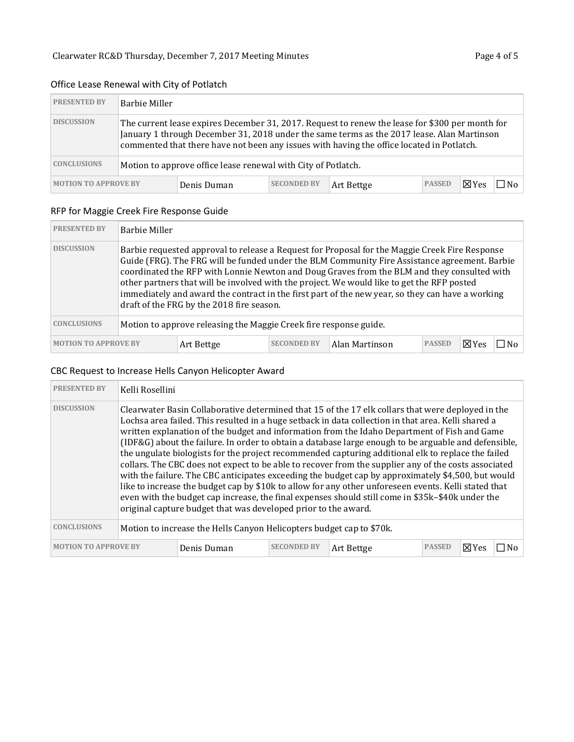# Office Lease Renewal with City of Potlatch

| <b>PRESENTED BY</b>         | Barbie Miller                                                                                                                                                                                                                                                                              |             |                    |            |               |                 |     |
|-----------------------------|--------------------------------------------------------------------------------------------------------------------------------------------------------------------------------------------------------------------------------------------------------------------------------------------|-------------|--------------------|------------|---------------|-----------------|-----|
| <b>DISCUSSION</b>           | The current lease expires December 31, 2017. Request to renew the lease for \$300 per month for<br>January 1 through December 31, 2018 under the same terms as the 2017 lease. Alan Martinson<br>commented that there have not been any issues with having the office located in Potlatch. |             |                    |            |               |                 |     |
| <b>CONCLUSIONS</b>          | Motion to approve office lease renewal with City of Potlatch.                                                                                                                                                                                                                              |             |                    |            |               |                 |     |
| <b>MOTION TO APPROVE BY</b> |                                                                                                                                                                                                                                                                                            | Denis Duman | <b>SECONDED BY</b> | Art Bettge | <b>PASSED</b> | $\boxtimes$ Yes | N٥. |

### RFP for Maggie Creek Fire Response Guide

| <b>PRESENTED BY</b>         | Barbie Miller                                                                                                                                                                                                                                                                                                                                                                                                                                                                                                                                 |            |                    |                |               |               |  |
|-----------------------------|-----------------------------------------------------------------------------------------------------------------------------------------------------------------------------------------------------------------------------------------------------------------------------------------------------------------------------------------------------------------------------------------------------------------------------------------------------------------------------------------------------------------------------------------------|------------|--------------------|----------------|---------------|---------------|--|
| <b>DISCUSSION</b>           | Barbie requested approval to release a Request for Proposal for the Maggie Creek Fire Response<br>Guide (FRG). The FRG will be funded under the BLM Community Fire Assistance agreement. Barbie<br>coordinated the RFP with Lonnie Newton and Doug Graves from the BLM and they consulted with<br>other partners that will be involved with the project. We would like to get the RFP posted<br>immediately and award the contract in the first part of the new year, so they can have a working<br>draft of the FRG by the 2018 fire season. |            |                    |                |               |               |  |
| <b>CONCLUSIONS</b>          | Motion to approve releasing the Maggie Creek fire response guide.                                                                                                                                                                                                                                                                                                                                                                                                                                                                             |            |                    |                |               |               |  |
| <b>MOTION TO APPROVE BY</b> |                                                                                                                                                                                                                                                                                                                                                                                                                                                                                                                                               | Art Bettge | <b>SECONDED BY</b> | Alan Martinson | <b>PASSED</b> | $\nabla Y$ es |  |

# CBC Request to Increase Hells Canyon Helicopter Award

| <b>PRESENTED BY</b>         | Kelli Rosellini                                                      |                                                                                                                                                                                                                                                                                                                                                                                                                                                                                                                                                                                                                                                                                                                                                                                                                                                                                                                                                                                                                    |                    |            |               |                 |     |
|-----------------------------|----------------------------------------------------------------------|--------------------------------------------------------------------------------------------------------------------------------------------------------------------------------------------------------------------------------------------------------------------------------------------------------------------------------------------------------------------------------------------------------------------------------------------------------------------------------------------------------------------------------------------------------------------------------------------------------------------------------------------------------------------------------------------------------------------------------------------------------------------------------------------------------------------------------------------------------------------------------------------------------------------------------------------------------------------------------------------------------------------|--------------------|------------|---------------|-----------------|-----|
| <b>DISCUSSION</b>           |                                                                      | Clearwater Basin Collaborative determined that 15 of the 17 elk collars that were deployed in the<br>Lochsa area failed. This resulted in a huge setback in data collection in that area. Kelli shared a<br>written explanation of the budget and information from the Idaho Department of Fish and Game<br>(IDF&G) about the failure. In order to obtain a database large enough to be arguable and defensible,<br>the ungulate biologists for the project recommended capturing additional elk to replace the failed<br>collars. The CBC does not expect to be able to recover from the supplier any of the costs associated<br>with the failure. The CBC anticipates exceeding the budget cap by approximately \$4,500, but would<br>like to increase the budget cap by \$10k to allow for any other unforeseen events. Kelli stated that<br>even with the budget cap increase, the final expenses should still come in \$35k-\$40k under the<br>original capture budget that was developed prior to the award. |                    |            |               |                 |     |
| <b>CONCLUSIONS</b>          | Motion to increase the Hells Canyon Helicopters budget cap to \$70k. |                                                                                                                                                                                                                                                                                                                                                                                                                                                                                                                                                                                                                                                                                                                                                                                                                                                                                                                                                                                                                    |                    |            |               |                 |     |
| <b>MOTION TO APPROVE BY</b> |                                                                      | Denis Duman                                                                                                                                                                                                                                                                                                                                                                                                                                                                                                                                                                                                                                                                                                                                                                                                                                                                                                                                                                                                        | <b>SECONDED BY</b> | Art Bettge | <b>PASSED</b> | $\boxtimes$ Yes | ∩No |